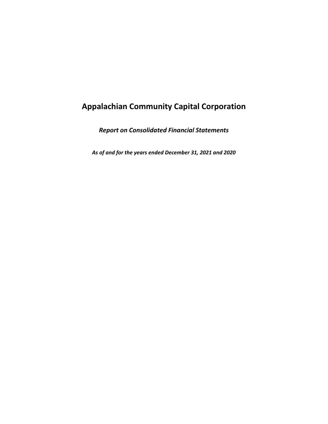*Report on Consolidated Financial Statements*

*As of and for the years ended December 31, 2021 and 2020*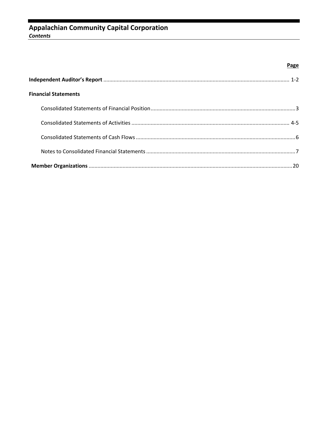## Page

| <b>Financial Statements</b> |  |
|-----------------------------|--|
|                             |  |
|                             |  |
|                             |  |
|                             |  |
|                             |  |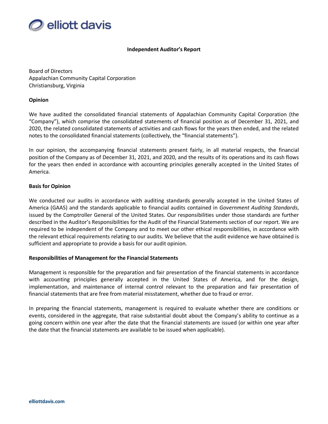

#### **Independent Auditor's Report**

Board of Directors Appalachian Community Capital Corporation Christiansburg, Virginia

#### **Opinion**

We have audited the consolidated financial statements of Appalachian Community Capital Corporation (the "Company"), which comprise the consolidated statements of financial position as of December 31, 2021, and 2020, the related consolidated statements of activities and cash flows for the years then ended, and the related notes to the consolidated financial statements (collectively, the "financial statements").

In our opinion, the accompanying financial statements present fairly, in all material respects, the financial position of the Company as of December 31, 2021, and 2020, and the results of its operations and its cash flows for the years then ended in accordance with accounting principles generally accepted in the United States of America.

## **Basis for Opinion**

We conducted our audits in accordance with auditing standards generally accepted in the United States of America (GAAS) and the standards applicable to financial audits contained in *Government Auditing Standards*, issued by the Comptroller General of the United States. Our responsibilities under those standards are further described in the Auditor's Responsibilities for the Audit of the Financial Statements section of our report. We are required to be independent of the Company and to meet our other ethical responsibilities, in accordance with the relevant ethical requirements relating to our audits. We believe that the audit evidence we have obtained is sufficient and appropriate to provide a basis for our audit opinion.

#### **Responsibilities of Management for the Financial Statements**

Management is responsible for the preparation and fair presentation of the financial statements in accordance with accounting principles generally accepted in the United States of America, and for the design, implementation, and maintenance of internal control relevant to the preparation and fair presentation of financial statements that are free from material misstatement, whether due to fraud or error.

In preparing the financial statements, management is required to evaluate whether there are conditions or events, considered in the aggregate, that raise substantial doubt about the Company's ability to continue as a going concern within one year after the date that the financial statements are issued (or within one year after the date that the financial statements are available to be issued when applicable).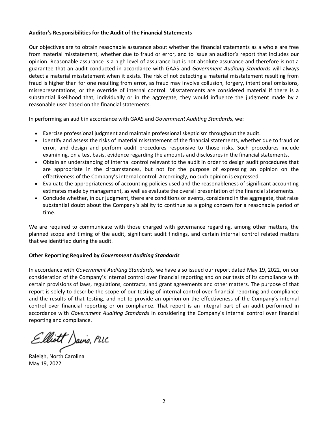## **Auditor's Responsibilities for the Audit of the Financial Statements**

Our objectives are to obtain reasonable assurance about whether the financial statements as a whole are free from material misstatement, whether due to fraud or error, and to issue an auditor's report that includes our opinion. Reasonable assurance is a high level of assurance but is not absolute assurance and therefore is not a guarantee that an audit conducted in accordance with GAAS and *Government Auditing Standards* will always detect a material misstatement when it exists. The risk of not detecting a material misstatement resulting from fraud is higher than for one resulting from error, as fraud may involve collusion, forgery, intentional omissions, misrepresentations, or the override of internal control. Misstatements are considered material if there is a substantial likelihood that, individually or in the aggregate, they would influence the judgment made by a reasonable user based on the financial statements.

In performing an audit in accordance with GAAS and *Government Auditing Standards,* we:

- Exercise professional judgment and maintain professional skepticism throughout the audit.
- Identify and assess the risks of material misstatement of the financial statements, whether due to fraud or error, and design and perform audit procedures responsive to those risks. Such procedures include examining, on a test basis, evidence regarding the amounts and disclosures in the financial statements.
- Obtain an understanding of internal control relevant to the audit in order to design audit procedures that are appropriate in the circumstances, but not for the purpose of expressing an opinion on the effectiveness of the Company's internal control. Accordingly, no such opinion is expressed.
- Evaluate the appropriateness of accounting policies used and the reasonableness of significant accounting estimates made by management, as well as evaluate the overall presentation of the financial statements.
- Conclude whether, in our judgment, there are conditions or events, considered in the aggregate, that raise substantial doubt about the Company's ability to continue as a going concern for a reasonable period of time.

We are required to communicate with those charged with governance regarding, among other matters, the planned scope and timing of the audit, significant audit findings, and certain internal control related matters that we identified during the audit.

#### **Other Reporting Required by** *Government Auditing Standards*

In accordance with *Government Auditing Standards,* we have also issued our report dated May 19, 2022, on our consideration of the Company's internal control over financial reporting and on our tests of its compliance with certain provisions of laws, regulations, contracts, and grant agreements and other matters. The purpose of that report is solely to describe the scope of our testing of internal control over financial reporting and compliance and the results of that testing, and not to provide an opinion on the effectiveness of the Company's internal control over financial reporting or on compliance. That report is an integral part of an audit performed in accordance with *Government Auditing Standards* in considering the Company's internal control over financial reporting and compliance.

Elliott Davis, PUC

Raleigh, North Carolina May 19, 2022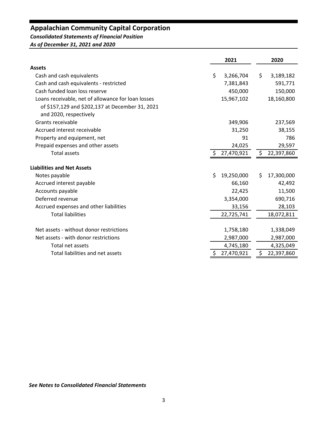## *Consolidated Statements of Financial Position*

*As of December 31, 2021 and 2020*

|                                                    |    | 2021       |     | 2020       |
|----------------------------------------------------|----|------------|-----|------------|
| <b>Assets</b>                                      |    |            |     |            |
| Cash and cash equivalents                          | \$ | 3,266,704  | \$. | 3,189,182  |
| Cash and cash equivalents - restricted             |    | 7,381,843  |     | 591,771    |
| Cash funded loan loss reserve                      |    | 450,000    |     | 150,000    |
| Loans receivable, net of allowance for loan losses |    | 15,967,102 |     | 18,160,800 |
| of \$157,129 and \$202,137 at December 31, 2021    |    |            |     |            |
| and 2020, respectively                             |    |            |     |            |
| Grants receivable                                  |    | 349,906    |     | 237,569    |
| Accrued interest receivable                        |    | 31,250     |     | 38,155     |
| Property and equipment, net                        |    | 91         |     | 786        |
| Prepaid expenses and other assets                  |    | 24,025     |     | 29,597     |
| <b>Total assets</b>                                | Ŝ. | 27,470,921 | \$  | 22,397,860 |
| <b>Liabilities and Net Assets</b>                  |    |            |     |            |
| Notes payable                                      | \$ | 19,250,000 | \$  | 17,300,000 |
| Accrued interest payable                           |    | 66,160     |     | 42,492     |
| Accounts payable                                   |    | 22,425     |     | 11,500     |
| Deferred revenue                                   |    | 3,354,000  |     | 690,716    |
| Accrued expenses and other liabilities             |    | 33,156     |     | 28,103     |
| <b>Total liabilities</b>                           |    | 22,725,741 |     | 18,072,811 |
|                                                    |    |            |     |            |
| Net assets - without donor restrictions            |    | 1,758,180  |     | 1,338,049  |
| Net assets - with donor restrictions               |    | 2,987,000  |     | 2,987,000  |
| Total net assets                                   |    | 4,745,180  |     | 4,325,049  |
| Total liabilities and net assets                   |    | 27,470,921 | \$  | 22,397,860 |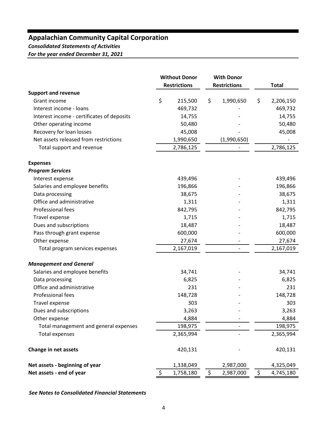*Consolidated Statements of Activities*

*For the year ended December 31, 2021*

|                                            | <b>Without Donor</b><br><b>Restrictions</b> |           | <b>With Donor</b><br><b>Restrictions</b> |             | <b>Total</b> |           |
|--------------------------------------------|---------------------------------------------|-----------|------------------------------------------|-------------|--------------|-----------|
| <b>Support and revenue</b>                 |                                             |           |                                          |             |              |           |
| Grant income                               | \$                                          | 215,500   | \$                                       | 1,990,650   | \$           | 2,206,150 |
| Interest income - loans                    |                                             | 469,732   |                                          |             |              | 469,732   |
| Interest income - certificates of deposits |                                             | 14,755    |                                          |             |              | 14,755    |
| Other operating income                     |                                             | 50,480    |                                          |             |              | 50,480    |
| Recovery for loan losses                   |                                             | 45,008    |                                          |             |              | 45,008    |
| Net assets released from restrictions      |                                             | 1,990,650 |                                          | (1,990,650) |              |           |
| Total support and revenue                  |                                             | 2,786,125 |                                          |             |              | 2,786,125 |
| <b>Expenses</b>                            |                                             |           |                                          |             |              |           |
| <b>Program Services</b>                    |                                             |           |                                          |             |              |           |
| Interest expense                           |                                             | 439,496   |                                          |             |              | 439,496   |
| Salaries and employee benefits             |                                             | 196,866   |                                          |             |              | 196,866   |
| Data processing                            |                                             | 38,675    |                                          |             |              | 38,675    |
| Office and administrative                  |                                             | 1,311     |                                          |             |              | 1,311     |
| <b>Professional fees</b>                   |                                             | 842,795   |                                          |             |              | 842,795   |
| Travel expense                             |                                             | 1,715     |                                          |             |              | 1,715     |
| Dues and subscriptions                     |                                             | 18,487    |                                          |             |              | 18,487    |
| Pass through grant expense                 |                                             | 600,000   |                                          |             |              | 600,000   |
| Other expense                              |                                             | 27,674    |                                          |             |              | 27,674    |
| Total program services expenses            |                                             | 2,167,019 |                                          |             |              | 2,167,019 |
| <b>Management and General</b>              |                                             |           |                                          |             |              |           |
| Salaries and employee benefits             |                                             | 34,741    |                                          |             |              | 34,741    |
| Data processing                            |                                             | 6,825     |                                          |             |              | 6,825     |
| Office and administrative                  |                                             | 231       |                                          |             |              | 231       |
| Professional fees                          |                                             | 148,728   |                                          |             |              | 148,728   |
| Travel expense                             |                                             | 303       |                                          |             |              | 303       |
| Dues and subscriptions                     |                                             | 3,263     |                                          |             |              | 3,263     |
| Other expense                              |                                             | 4,884     |                                          |             |              | 4,884     |
| Total management and general expenses      |                                             | 198,975   |                                          |             |              | 198,975   |
| <b>Total expenses</b>                      |                                             | 2,365,994 |                                          |             |              | 2,365,994 |
| Change in net assets                       |                                             | 420,131   |                                          |             |              | 420,131   |
| Net assets - beginning of year             |                                             | 1,338,049 |                                          | 2,987,000   |              | 4,325,049 |
| Net assets - end of year                   | \$                                          | 1,758,180 | \$                                       | 2,987,000   | \$           | 4,745,180 |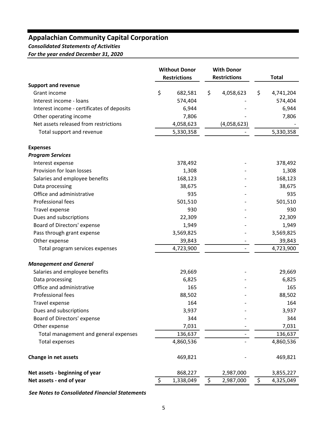*Consolidated Statements of Activities*

*For the year ended December 31, 2020*

|                                            |                    | <b>With Donor</b><br><b>Without Donor</b><br><b>Restrictions</b><br><b>Restrictions</b> |    | <b>Total</b> |    |           |
|--------------------------------------------|--------------------|-----------------------------------------------------------------------------------------|----|--------------|----|-----------|
| <b>Support and revenue</b>                 |                    |                                                                                         |    |              |    |           |
| Grant income                               | \$                 | 682,581                                                                                 | \$ | 4,058,623    | \$ | 4,741,204 |
| Interest income - loans                    |                    | 574,404                                                                                 |    |              |    | 574,404   |
| Interest income - certificates of deposits |                    | 6,944                                                                                   |    |              |    | 6,944     |
| Other operating income                     |                    | 7,806                                                                                   |    |              |    | 7,806     |
| Net assets released from restrictions      |                    | 4,058,623                                                                               |    | (4,058,623)  |    |           |
| Total support and revenue                  |                    | 5,330,358                                                                               |    |              |    | 5,330,358 |
| <b>Expenses</b>                            |                    |                                                                                         |    |              |    |           |
| <b>Program Services</b>                    |                    |                                                                                         |    |              |    |           |
| Interest expense                           |                    | 378,492                                                                                 |    |              |    | 378,492   |
| Provision for loan losses                  |                    | 1,308                                                                                   |    |              |    | 1,308     |
| Salaries and employee benefits             |                    | 168,123                                                                                 |    |              |    | 168,123   |
| Data processing                            |                    | 38,675                                                                                  |    |              |    | 38,675    |
| Office and administrative                  |                    | 935                                                                                     |    |              |    | 935       |
| Professional fees                          |                    | 501,510                                                                                 |    |              |    | 501,510   |
| Travel expense                             |                    | 930                                                                                     |    |              |    | 930       |
| Dues and subscriptions                     |                    | 22,309                                                                                  |    |              |    | 22,309    |
| Board of Directors' expense                |                    | 1,949                                                                                   |    |              |    | 1,949     |
| Pass through grant expense                 |                    | 3,569,825                                                                               |    |              |    | 3,569,825 |
| Other expense                              |                    | 39,843                                                                                  |    |              |    | 39,843    |
| Total program services expenses            |                    | 4,723,900                                                                               |    |              |    | 4,723,900 |
| <b>Management and General</b>              |                    |                                                                                         |    |              |    |           |
| Salaries and employee benefits             |                    | 29,669                                                                                  |    |              |    | 29,669    |
| Data processing                            |                    | 6,825                                                                                   |    |              |    | 6,825     |
| Office and administrative                  |                    | 165                                                                                     |    |              |    | 165       |
| Professional fees                          |                    | 88,502                                                                                  |    |              |    | 88,502    |
| Travel expense                             |                    | 164                                                                                     |    |              |    | 164       |
| Dues and subscriptions                     |                    | 3,937                                                                                   |    |              |    | 3,937     |
| Board of Directors' expense                |                    | 344                                                                                     |    |              |    | 344       |
| Other expense                              |                    | 7,031                                                                                   |    |              |    | 7,031     |
| Total management and general expenses      |                    | 136,637                                                                                 |    |              |    | 136,637   |
| <b>Total expenses</b>                      |                    | 4,860,536                                                                               |    |              |    | 4,860,536 |
| Change in net assets                       |                    | 469,821                                                                                 |    |              |    | 469,821   |
| Net assets - beginning of year             |                    | 868,227                                                                                 |    | 2,987,000    |    | 3,855,227 |
| Net assets - end of year                   | $\ddot{\varsigma}$ | 1,338,049                                                                               | \$ | 2,987,000    | \$ | 4,325,049 |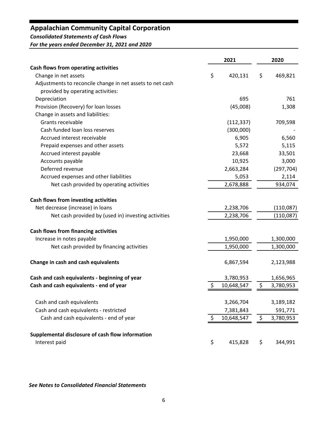*Consolidated Statements of Cash Flows*

*For the years ended December 31, 2021 and 2020*

|                                                           | 2021             | 2020            |
|-----------------------------------------------------------|------------------|-----------------|
| Cash flows from operating activities                      |                  |                 |
| Change in net assets                                      | \$<br>420,131    | \$<br>469,821   |
| Adjustments to reconcile change in net assets to net cash |                  |                 |
| provided by operating activities:                         |                  |                 |
| Depreciation                                              | 695              | 761             |
| Provision (Recovery) for loan losses                      | (45,008)         | 1,308           |
| Change in assets and liabilities:                         |                  |                 |
| Grants receivable                                         | (112, 337)       | 709,598         |
| Cash funded loan loss reserves                            | (300,000)        |                 |
| Accrued interest receivable                               | 6,905            | 6,560           |
| Prepaid expenses and other assets                         | 5,572            | 5,115           |
| Accrued interest payable                                  | 23,668           | 33,501          |
| Accounts payable                                          | 10,925           | 3,000           |
| Deferred revenue                                          | 2,663,284        | (297, 704)      |
| Accrued expenses and other liabilities                    | 5,053            | 2,114           |
| Net cash provided by operating activities                 | 2,678,888        | 934,074         |
| Cash flows from investing activities                      |                  |                 |
| Net decrease (increase) in loans                          | 2,238,706        | (110,087)       |
| Net cash provided by (used in) investing activities       | 2,238,706        | (110,087)       |
| <b>Cash flows from financing activities</b>               |                  |                 |
| Increase in notes payable                                 | 1,950,000        | 1,300,000       |
| Net cash provided by financing activities                 | 1,950,000        | 1,300,000       |
| Change in cash and cash equivalents                       | 6,867,594        | 2,123,988       |
| Cash and cash equivalents - beginning of year             | 3,780,953        | 1,656,965       |
| Cash and cash equivalents - end of year                   | \$<br>10,648,547 | \$<br>3,780,953 |
| Cash and cash equivalents                                 | 3,266,704        | 3,189,182       |
| Cash and cash equivalents - restricted                    | 7,381,843        | 591,771         |
| Cash and cash equivalents - end of year                   | 10,648,547       | \$<br>3,780,953 |
| Supplemental disclosure of cash flow information          |                  |                 |
| Interest paid                                             | \$<br>415,828    | \$<br>344,991   |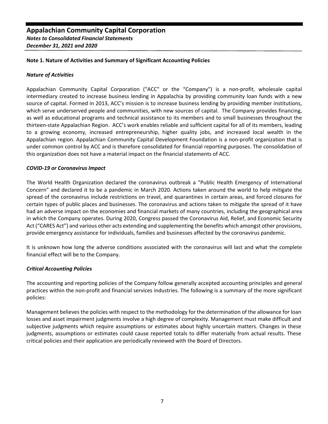## **Note 1. Nature of Activities and Summary of Significant Accounting Policies**

## *Nature of Activities*

Appalachian Community Capital Corporation ("ACC" or the "Company") is a non-profit, wholesale capital intermediary created to increase business lending in Appalachia by providing community loan funds with a new source of capital. Formed in 2013, ACC's mission is to increase business lending by providing member institutions, which serve underserved people and communities, with new sources of capital. The Company provides financing, as well as educational programs and technical assistance to its members and to small businesses throughout the thirteen-state Appalachian Region. ACC's work enables reliable and sufficient capital for all of its members, leading to a growing economy, increased entrepreneurship, higher quality jobs, and increased local wealth in the Appalachian region. Appalachian Community Capital Development Foundation is a non-profit organization that is under common control by ACC and is therefore consolidated for financial reporting purposes. The consolidation of this organization does not have a material impact on the financial statements of ACC.

## *COVID-19 or Coronavirus Impact*

The World Health Organization declared the coronavirus outbreak a "Public Health Emergency of International Concern" and declared it to be a pandemic in March 2020. Actions taken around the world to help mitigate the spread of the coronavirus include restrictions on travel, and quarantines in certain areas, and forced closures for certain types of public places and businesses. The coronavirus and actions taken to mitigate the spread of it have had an adverse impact on the economies and financial markets of many countries, including the geographical area in which the Company operates. During 2020, Congress passed the Coronavirus Aid, Relief, and Economic Security Act ("CARES Act") and various other acts extending and supplementing the benefits which amongst other provisions, provide emergency assistance for individuals, families and businesses affected by the coronavirus pandemic.

It is unknown how long the adverse conditions associated with the coronavirus will last and what the complete financial effect will be to the Company.

## *Critical Accounting Policies*

The accounting and reporting policies of the Company follow generally accepted accounting principles and general practices within the non-profit and financial services industries. The following is a summary of the more significant policies:

Management believes the policies with respect to the methodology for the determination of the allowance for loan losses and asset impairment judgments involve a high degree of complexity. Management must make difficult and subjective judgments which require assumptions or estimates about highly uncertain matters. Changes in these judgments, assumptions or estimates could cause reported totals to differ materially from actual results. These critical policies and their application are periodically reviewed with the Board of Directors.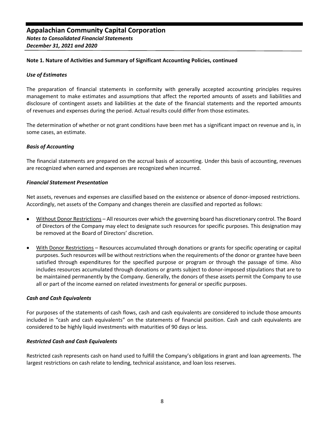## **Note 1. Nature of Activities and Summary of Significant Accounting Policies, continued**

## *Use of Estimates*

The preparation of financial statements in conformity with generally accepted accounting principles requires management to make estimates and assumptions that affect the reported amounts of assets and liabilities and disclosure of contingent assets and liabilities at the date of the financial statements and the reported amounts of revenues and expenses during the period. Actual results could differ from those estimates.

The determination of whether or not grant conditions have been met has a significant impact on revenue and is, in some cases, an estimate.

## *Basis of Accounting*

The financial statements are prepared on the accrual basis of accounting. Under this basis of accounting, revenues are recognized when earned and expenses are recognized when incurred.

## *Financial Statement Presentation*

Net assets, revenues and expenses are classified based on the existence or absence of donor-imposed restrictions. Accordingly, net assets of the Company and changes therein are classified and reported as follows:

- Without Donor Restrictions All resources over which the governing board has discretionary control. The Board of Directors of the Company may elect to designate such resources for specific purposes. This designation may be removed at the Board of Directors' discretion.
- With Donor Restrictions Resources accumulated through donations or grants for specific operating or capital purposes. Such resources will be without restrictions when the requirements of the donor or grantee have been satisfied through expenditures for the specified purpose or program or through the passage of time. Also includes resources accumulated through donations or grants subject to donor-imposed stipulations that are to be maintained permanently by the Company. Generally, the donors of these assets permit the Company to use all or part of the income earned on related investments for general or specific purposes.

## *Cash and Cash Equivalents*

For purposes of the statements of cash flows, cash and cash equivalents are considered to include those amounts included in "cash and cash equivalents" on the statements of financial position. Cash and cash equivalents are considered to be highly liquid investments with maturities of 90 days or less.

## *Restricted Cash and Cash Equivalents*

Restricted cash represents cash on hand used to fulfill the Company's obligations in grant and loan agreements. The largest restrictions on cash relate to lending, technical assistance, and loan loss reserves.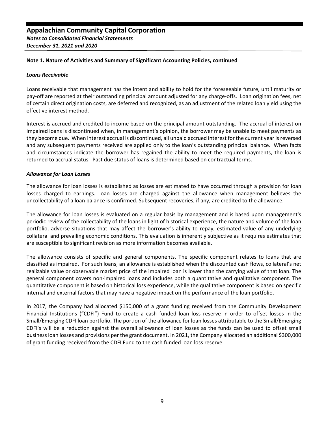## **Note 1. Nature of Activities and Summary of Significant Accounting Policies, continued**

## *Loans Receivable*

Loans receivable that management has the intent and ability to hold for the foreseeable future, until maturity or pay-off are reported at their outstanding principal amount adjusted for any charge-offs. Loan origination fees, net of certain direct origination costs, are deferred and recognized, as an adjustment of the related loan yield using the effective interest method.

Interest is accrued and credited to income based on the principal amount outstanding. The accrual of interest on impaired loans is discontinued when, in management's opinion, the borrower may be unable to meet payments as they become due. When interest accrual is discontinued, all unpaid accrued interest for the current year is reversed and any subsequent payments received are applied only to the loan's outstanding principal balance. When facts and circumstances indicate the borrower has regained the ability to meet the required payments, the loan is returned to accrual status. Past due status of loans is determined based on contractual terms.

## *Allowance for Loan Losses*

The allowance for loan losses is established as losses are estimated to have occurred through a provision for loan losses charged to earnings. Loan losses are charged against the allowance when management believes the uncollectability of a loan balance is confirmed. Subsequent recoveries, if any, are credited to the allowance.

The allowance for loan losses is evaluated on a regular basis by management and is based upon management's periodic review of the collectability of the loans in light of historical experience, the nature and volume of the loan portfolio, adverse situations that may affect the borrower's ability to repay, estimated value of any underlying collateral and prevailing economic conditions. This evaluation is inherently subjective as it requires estimates that are susceptible to significant revision as more information becomes available.

The allowance consists of specific and general components. The specific component relates to loans that are classified as impaired. For such loans, an allowance is established when the discounted cash flows, collateral's net realizable value or observable market price of the impaired loan is lower than the carrying value of that loan. The general component covers non-impaired loans and includes both a quantitative and qualitative component. The quantitative component is based on historical loss experience, while the qualitative component is based on specific internal and external factors that may have a negative impact on the performance of the loan portfolio.

In 2017, the Company had allocated \$150,000 of a grant funding received from the Community Development Financial Institutions ("CDFI") Fund to create a cash funded loan loss reserve in order to offset losses in the Small/Emerging CDFI loan portfolio. The portion of the allowance for loan losses attributable to the Small/Emerging CDFI's will be a reduction against the overall allowance of loan losses as the funds can be used to offset small business loan losses and provisions per the grant document. In 2021, the Company allocated an additional \$300,000 of grant funding received from the CDFI Fund to the cash funded loan loss reserve.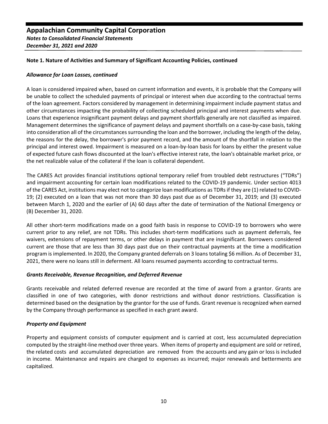## **Note 1. Nature of Activities and Summary of Significant Accounting Policies, continued**

## *Allowance for Loan Losses, continued*

A loan is considered impaired when, based on current information and events, it is probable that the Company will be unable to collect the scheduled payments of principal or interest when due according to the contractual terms of the loan agreement. Factors considered by management in determining impairment include payment status and other circumstances impacting the probability of collecting scheduled principal and interest payments when due. Loans that experience insignificant payment delays and payment shortfalls generally are not classified as impaired. Management determines the significance of payment delays and payment shortfalls on a case-by-case basis, taking into consideration all of the circumstances surrounding the loan and the borrower, including the length of the delay, the reasons for the delay, the borrower's prior payment record, and the amount of the shortfall in relation to the principal and interest owed. Impairment is measured on a loan-by-loan basis for loans by either the present value of expected future cash flows discounted at the loan's effective interest rate, the loan's obtainable market price, or the net realizable value of the collateral if the loan is collateral dependent.

The CARES Act provides financial institutions optional temporary relief from troubled debt restructures ("TDRs") and impairment accounting for certain loan modifications related to the COVID-19 pandemic. Under section 4013 of the CARES Act, institutions may elect not to categorize loan modifications as TDRs if they are (1) related to COVID-19; (2) executed on a loan that was not more than 30 days past due as of December 31, 2019; and (3) executed between March 1, 2020 and the earlier of (A) 60 days after the date of termination of the National Emergency or (B) December 31, 2020.

All other short-term modifications made on a good faith basis in response to COVID-19 to borrowers who were current prior to any relief, are not TDRs. This includes short-term modifications such as payment deferrals, fee waivers, extensions of repayment terms, or other delays in payment that are insignificant. Borrowers considered current are those that are less than 30 days past due on their contractual payments at the time a modification program is implemented. In 2020, the Company granted deferrals on 3 loans totaling \$6 million. As of December 31, 2021, there were no loans still in deferment. All loans resumed payments according to contractual terms.

## *Grants Receivable, Revenue Recognition, and Deferred Revenue*

Grants receivable and related deferred revenue are recorded at the time of award from a grantor. Grants are classified in one of two categories, with donor restrictions and without donor restrictions. Classification is determined based on the designation by the grantor for the use of funds. Grant revenue is recognized when earned by the Company through performance as specified in each grant award.

## *Property and Equipment*

Property and equipment consists of computer equipment and is carried at cost, less accumulated depreciation computed by the straight-line method over three years. When items of property and equipment are sold or retired, the related costs and accumulated depreciation are removed from the accounts and any gain or loss is included in income. Maintenance and repairs are charged to expenses as incurred; major renewals and betterments are capitalized.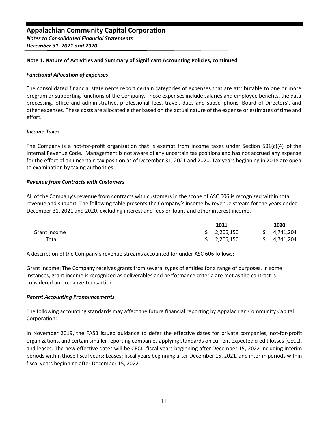## **Note 1. Nature of Activities and Summary of Significant Accounting Policies, continued**

## *Functional Allocation of Expenses*

The consolidated financial statements report certain categories of expenses that are attributable to one or more program or supporting functions of the Company. Those expenses include salaries and employee benefits, the data processing, office and administrative, professional fees, travel, dues and subscriptions, Board of Directors', and other expenses. These costs are allocated either based on the actual nature of the expense or estimates of time and effort.

## *Income Taxes*

The Company is a not-for-profit organization that is exempt from income taxes under Section  $501(c)(4)$  of the Internal Revenue Code. Management is not aware of any uncertain tax positions and has not accrued any expense for the effect of an uncertain tax position as of December 31, 2021 and 2020. Tax years beginning in 2018 are open to examination by taxing authorities.

## *Revenue from Contracts with Customers*

All of the Company's revenue from contracts with customers in the scope of ASC 606 is recognized within total revenue and support. The following table presents the Company's income by revenue stream for the years ended December 31, 2021 and 2020, excluding interest and fees on loans and other interest income.

|                     | 2021      | 2020      |
|---------------------|-----------|-----------|
| <b>Grant Income</b> | 2,206,150 | 4,741,204 |
| Total               | 2,206,150 | 4,741,204 |

A description of the Company's revenue streams accounted for under ASC 606 follows:

Grant income: The Company receives grants from several types of entities for a range of purposes. In some instances, grant income is recognized as deliverables and performance criteria are met as the contract is considered an exchange transaction.

#### *Recent Accounting Pronouncements*

The following accounting standards may affect the future financial reporting by Appalachian Community Capital Corporation:

In November 2019, the FASB issued guidance to defer the effective dates for private companies, not-for-profit organizations, and certain smaller reporting companies applying standards on current expected credit losses (CECL), and leases. The new effective dates will be CECL: fiscal years beginning after December 15, 2022 including interim periods within those fiscal years; Leases: fiscal years beginning after December 15, 2021, and interim periods within fiscal years beginning after December 15, 2022.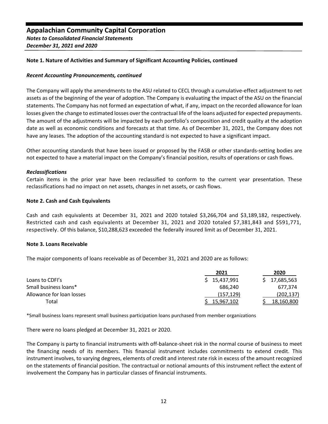## **Note 1. Nature of Activities and Summary of Significant Accounting Policies, continued**

## *Recent Accounting Pronouncements, continued*

The Company will apply the amendments to the ASU related to CECL through a cumulative-effect adjustment to net assets as of the beginning of the year of adoption. The Company is evaluating the impact of the ASU on the financial statements. The Company has not formed an expectation of what, if any, impact on the recorded allowance for loan losses given the change to estimated losses over the contractual life of the loans adjusted for expected prepayments. The amount of the adjustments will be impacted by each portfolio's composition and credit quality at the adoption date as well as economic conditions and forecasts at that time. As of December 31, 2021, the Company does not have any leases. The adoption of the accounting standard is not expected to have a significant impact.

Other accounting standards that have been issued or proposed by the FASB or other standards-setting bodies are not expected to have a material impact on the Company's financial position, results of operations or cash flows.

## *Reclassifications*

Certain items in the prior year have been reclassified to conform to the current year presentation. These reclassifications had no impact on net assets, changes in net assets, or cash flows.

## **Note 2. Cash and Cash Equivalents**

Cash and cash equivalents at December 31, 2021 and 2020 totaled \$3,266,704 and \$3,189,182, respectively. Restricted cash and cash equivalents at December 31, 2021 and 2020 totaled \$7,381,843 and \$591,771, respectively. Of this balance, \$10,288,623 exceeded the federally insured limit as of December 31, 2021.

## **Note 3. Loans Receivable**

The major components of loans receivable as of December 31, 2021 and 2020 are as follows:

|                           | 2021         | 2020       |
|---------------------------|--------------|------------|
| Loans to CDFI's           | \$15,437,991 | 17,685,563 |
| Small business loans*     | 686.240      | 677.374    |
| Allowance for loan losses | (157.129)    | (202,137)  |
| Total                     | 15,967,102   | 18,160,800 |

\*Small business loans represent small business participation loans purchased from member organizations

There were no loans pledged at December 31, 2021 or 2020.

The Company is party to financial instruments with off-balance-sheet risk in the normal course of business to meet the financing needs of its members. This financial instrument includes commitments to extend credit. This instrument involves, to varying degrees, elements of credit and interest rate risk in excess of the amount recognized on the statements of financial position. The contractual or notional amounts of this instrument reflect the extent of involvement the Company has in particular classes of financial instruments.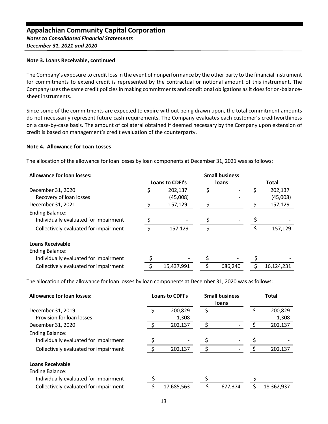## **Note 3. Loans Receivable, continued**

The Company's exposure to credit loss in the event of nonperformance by the other party to the financial instrument for commitments to extend credit is represented by the contractual or notional amount of this instrument. The Company uses the same credit policies in making commitments and conditional obligations as it does for on-balancesheet instruments.

Since some of the commitments are expected to expire without being drawn upon, the total commitment amounts do not necessarily represent future cash requirements. The Company evaluates each customer's creditworthiness on a case-by-case basis. The amount of collateral obtained if deemed necessary by the Company upon extension of credit is based on management's credit evaluation of the counterparty.

## **Note 4. Allowance for Loan Losses**

The allocation of the allowance for loan losses by loan components at December 31, 2021 was as follows:

| <b>Allowance for loan losses:</b>     |                        | <b>Small business</b> |            |
|---------------------------------------|------------------------|-----------------------|------------|
|                                       | <b>Loans to CDFI's</b> | loans                 | Total      |
| December 31, 2020                     | 202,137                |                       | 202,137    |
| Recovery of loan losses               | (45,008)               |                       | (45,008)   |
| December 31, 2021                     | 157,129                |                       | 157,129    |
| <b>Ending Balance:</b>                |                        |                       |            |
| Individually evaluated for impairment |                        |                       |            |
| Collectively evaluated for impairment | 157,129                |                       | 157,129    |
| <b>Loans Receivable</b>               |                        |                       |            |
| <b>Ending Balance:</b>                |                        |                       |            |
| Individually evaluated for impairment |                        |                       |            |
| Collectively evaluated for impairment | 15,437,991             | 686,240               | 16,124,231 |

The allocation of the allowance for loan losses by loan components at December 31, 2020 was as follows:

| <b>Allowance for loan losses:</b>     | Loans to CDFI's |   | <b>Small business</b><br>loans | Total         |
|---------------------------------------|-----------------|---|--------------------------------|---------------|
| December 31, 2019                     | 200,829         | Ś |                                | \$<br>200,829 |
| Provision for loan losses             | 1,308           |   |                                | 1,308         |
| December 31, 2020                     | 202,137         |   |                                | 202,137       |
| <b>Ending Balance:</b>                |                 |   |                                |               |
| Individually evaluated for impairment |                 |   |                                |               |
| Collectively evaluated for impairment | 202,137         |   |                                | 202,137       |
| <b>Loans Receivable</b>               |                 |   |                                |               |
| <b>Ending Balance:</b>                |                 |   |                                |               |
| Individually evaluated for impairment |                 |   |                                |               |
| Collectively evaluated for impairment | 17,685,563      |   | 677,374                        | 18,362,937    |
|                                       |                 |   |                                |               |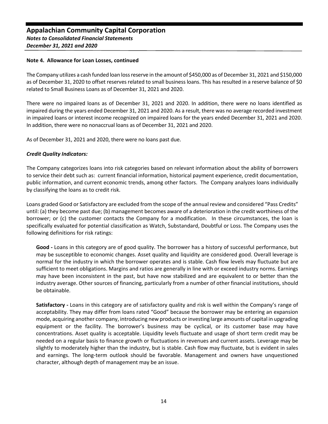## **Note 4. Allowance for Loan Losses, continued**

The Company utilizes a cash funded loan loss reserve in the amount of \$450,000 as of December 31, 2021 and \$150,000 as of December 31, 2020 to offset reserves related to small business loans. This has resulted in a reserve balance of \$0 related to Small Business Loans as of December 31, 2021 and 2020.

There were no impaired loans as of December 31, 2021 and 2020. In addition, there were no loans identified as impaired during the years ended December 31, 2021 and 2020. As a result, there was no average recorded investment in impaired loans or interest income recognized on impaired loans for the years ended December 31, 2021 and 2020. In addition, there were no nonaccrual loans as of December 31, 2021 and 2020.

As of December 31, 2021 and 2020, there were no loans past due.

## *Credit Quality Indicators:*

The Company categorizes loans into risk categories based on relevant information about the ability of borrowers to service their debt such as: current financial information, historical payment experience, credit documentation, public information, and current economic trends, among other factors. The Company analyzes loans individually by classifying the loans as to credit risk.

Loans graded Good or Satisfactory are excluded from the scope of the annual review and considered "Pass Credits" until: (a) they become past due; (b) management becomes aware of a deterioration in the credit worthiness of the borrower; or (c) the customer contacts the Company for a modification. In these circumstances, the loan is specifically evaluated for potential classification as Watch, Substandard, Doubtful or Loss. The Company uses the following definitions for risk ratings:

**Good -** Loans in this category are of good quality. The borrower has a history of successful performance, but may be susceptible to economic changes. Asset quality and liquidity are considered good. Overall leverage is normal for the industry in which the borrower operates and is stable. Cash flow levels may fluctuate but are sufficient to meet obligations. Margins and ratios are generally in line with or exceed industry norms. Earnings may have been inconsistent in the past, but have now stabilized and are equivalent to or better than the industry average. Other sources of financing, particularly from a number of other financial institutions, should be obtainable.

**Satisfactory -** Loans in this category are of satisfactory quality and risk is well within the Company's range of acceptability. They may differ from loans rated "Good" because the borrower may be entering an expansion mode, acquiring another company, introducing new products or investing large amounts of capital in upgrading equipment or the facility. The borrower's business may be cyclical, or its customer base may have concentrations. Asset quality is acceptable. Liquidity levels fluctuate and usage of short term credit may be needed on a regular basis to finance growth or fluctuations in revenues and current assets. Leverage may be slightly to moderately higher than the industry, but is stable. Cash flow may fluctuate, but is evident in sales and earnings. The long-term outlook should be favorable. Management and owners have unquestioned character, although depth of management may be an issue.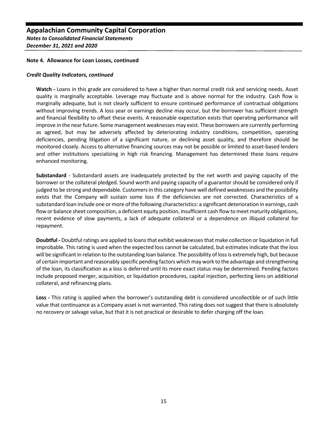## **Note 4. Allowance for Loan Losses, continued**

## *Credit Quality Indicators, continued*

**Watch -** Loans in this grade are considered to have a higher than normal credit risk and servicing needs. Asset quality is marginally acceptable. Leverage may fluctuate and is above normal for the industry. Cash flow is marginally adequate, but is not clearly sufficient to ensure continued performance of contractual obligations without improving trends. A loss year or earnings decline may occur, but the borrower has sufficient strength and financial flexibility to offset these events. A reasonable expectation exists that operating performance will improve in the near future. Some management weaknesses may exist. These borrowers are currently performing as agreed, but may be adversely affected by deteriorating industry conditions, competition, operating deficiencies, pending litigation of a significant nature, or declining asset quality, and therefore should be monitored closely. Access to alternative financing sources may not be possible or limited to asset-based lenders and other institutions specializing in high risk financing. Management has determined these loans require enhanced monitoring.

**Substandard** - Substandard assets are inadequately protected by the net worth and paying capacity of the borrower or the collateral pledged. Sound worth and paying capacity of a guarantor should be considered only if judged to be strong and dependable. Customers in this category have well defined weaknesses and the possibility exists that the Company will sustain some loss if the deficiencies are not corrected. Characteristics of a substandard loan include one or more of the following characteristics: a significant deterioration in earnings, cash flow or balance sheet composition, a deficient equity position, insufficient cash flow to meet maturity obligations, recent evidence of slow payments, a lack of adequate collateral or a dependence on illiquid collateral for repayment.

**Doubtful -** Doubtful ratings are applied to loans that exhibit weaknesses that make collection or liquidation in full improbable. This rating is used when the expected loss cannot be calculated, but estimates indicate that the loss will be significant in relation to the outstanding loan balance. The possibility of loss is extremely high, but because of certain important and reasonably specific pending factors which may work to the advantage and strengthening of the loan, its classification as a loss is deferred until its more exact status may be determined. Pending factors include proposed merger, acquisition, or liquidation procedures, capital injection, perfecting liens on additional collateral, and refinancing plans.

**Loss -** This rating is applied when the borrower's outstanding debt is considered uncollectible or of such little value that continuance as a Company asset is not warranted. This rating does not suggest that there is absolutely no recovery or salvage value, but that it is not practical or desirable to defer charging off the loan.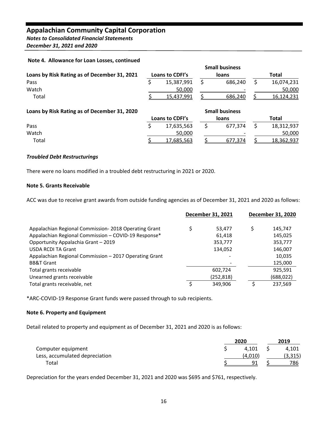*Notes to Consolidated Financial Statements December 31, 2021 and 2020* 

## **Note 4. Allowance for Loan Losses, continued**

| Loans by Risk Rating as of December 31, 2021 | <b>Small business</b>           |            |  |                          |       |                   |  |  |  |
|----------------------------------------------|---------------------------------|------------|--|--------------------------|-------|-------------------|--|--|--|
|                                              | Loans to CDFI's<br><b>loans</b> |            |  |                          | Total |                   |  |  |  |
| Pass                                         |                                 | 15.387.991 |  | 686.240                  |       | 16,074,231        |  |  |  |
| Watch                                        |                                 | 50,000     |  | $\overline{\phantom{0}}$ |       | 50,000            |  |  |  |
| Total                                        |                                 | 15.437.991 |  | 686,240                  |       | <u>16,124,231</u> |  |  |  |

| Loans by Risk Rating as of December 31, 2020 |  |                 | <b>Small business</b>    |            |
|----------------------------------------------|--|-----------------|--------------------------|------------|
|                                              |  | Loans to CDFI's | loans                    | Total      |
| Pass                                         |  | 17.635.563      | 677.374                  | 18,312,937 |
| Watch                                        |  | 50,000          | $\overline{\phantom{0}}$ | 50,000     |
| Total                                        |  | 17,685,563      | 677.374                  | 18,362,937 |

## *Troubled Debt Restructurings*

There were no loans modified in a troubled debt restructuring in 2021 or 2020.

## **Note 5. Grants Receivable**

ACC was due to receive grant awards from outside funding agencies as of December 31, 2021 and 2020 as follows:

|                                                        | December 31, 2021 |   | December 31, 2020 |  |
|--------------------------------------------------------|-------------------|---|-------------------|--|
| Appalachian Regional Commission-2018 Operating Grant   | 53,477            | Ś | 145,747           |  |
| Appalachian Regional Commission - COVID-19 Response*   | 61,418            |   | 145,025           |  |
| Opportunity Appalachia Grant - 2019                    | 353,777           |   | 353,777           |  |
| <b>USDA RCDI TA Grant</b>                              | 134,052           |   | 146,007           |  |
| Appalachian Regional Commission - 2017 Operating Grant | ۰                 |   | 10,035            |  |
| <b>BB&amp;T Grant</b>                                  |                   |   | 125,000           |  |
| Total grants receivable                                | 602,724           |   | 925,591           |  |
| Unearned grants receivable                             | (252, 818)        |   | (688,022)         |  |
| Total grants receivable, net                           | 349.906           |   | 237,569           |  |

\*ARC-COVID-19 Response Grant funds were passed through to sub recipients.

## **Note 6. Property and Equipment**

Detail related to property and equipment as of December 31, 2021 and 2020 is as follows:

|                                | 2020    | 2019    |
|--------------------------------|---------|---------|
| Computer equipment             | 4.101   | 4.101   |
| Less, accumulated depreciation | (4.010) | (3,315) |
| Total                          |         | 786     |

Depreciation for the years ended December 31, 2021 and 2020 was \$695 and \$761, respectively.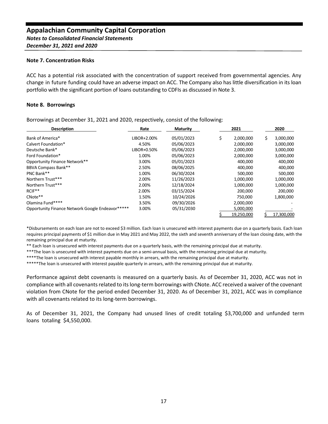## **Note 7. Concentration Risks**

ACC has a potential risk associated with the concentration of support received from governmental agencies. Any change in future funding could have an adverse impact on ACC. The Company also has little diversification in its loan portfolio with the significant portion of loans outstanding to CDFIs as discussed in Note 3.

#### **Note 8. Borrowings**

Borrowings at December 31, 2021 and 2020, respectively, consist of the following:

| <b>Description</b>                               | Rate        | <b>Maturity</b> | 2021            | 2020            |
|--------------------------------------------------|-------------|-----------------|-----------------|-----------------|
| Bank of America*                                 | LIBOR+2.00% | 05/01/2023      | \$<br>2,000,000 | \$<br>3,000,000 |
| Calvert Foundation*                              | 4.50%       | 05/06/2023      | 2,000,000       | 3,000,000       |
| Deutsche Bank*                                   | LIBOR+0.50% | 05/06/2023      | 2,000,000       | 3,000,000       |
| Ford Foundation*                                 | 1.00%       | 05/06/2023      | 2,000,000       | 3,000,000       |
| Opportunity Finance Network**                    | 3.00%       | 05/01/2023      | 400,000         | 400,000         |
| BBVA Compass Bank**                              | 2.50%       | 08/06/2025      | 400,000         | 400,000         |
| PNC Bank**                                       | 1.00%       | 06/30/2024      | 500.000         | 500,000         |
| Northern Trust***                                | 2.00%       | 11/26/2023      | 1,000,000       | 1,000,000       |
| Northern Trust***                                | 2.00%       | 12/18/2024      | 1,000,000       | 1,000,000       |
| $RCIF**$                                         | 2.00%       | 03/15/2024      | 200,000         | 200,000         |
| CNote**                                          | 1.50%       | 10/24/2026      | 750,000         | 1,800,000       |
| Olamina Fund****                                 | 3.50%       | 09/30/2026      | 2,000,000       |                 |
| Opportunity Finance Network Google Endeavor***** | 3.00%       | 05/31/2030      | 5,000,000       |                 |
|                                                  |             |                 | 19,250,000      | 17,300,000      |

\*Disbursements on each loan are not to exceed \$3 million. Each loan is unsecured with interest payments due on a quarterly basis. Each loan requires principal payments of \$1 million due in May 2021 and May 2022, the sixth and seventh anniversary of the loan closing date, with the remaining principal due at maturity.

\*\* Each loan is unsecured with interest payments due on a quarterly basis, with the remaining principal due at maturity.

\*\*\*The loan is unsecured with interest payments due on a semi-annual basis, with the remaining principal due at maturity.

\*\*\*\*The loan is unsecured with interest payable monthly in arrears, with the remaining principal due at maturity.

\*\*\*\*\*The loan is unsecured with interest payable quarterly in arrears, with the remaining principal due at maturity.

Performance against debt covenants is measured on a quarterly basis. As of December 31, 2020, ACC was not in compliance with all covenants related to its long-term borrowings with CNote. ACC received a waiver of the covenant violation from CNote for the period ended December 31, 2020. As of December 31, 2021, ACC was in compliance with all covenants related to its long-term borrowings.

As of December 31, 2021, the Company had unused lines of credit totaling \$3,700,000 and unfunded term loans totaling \$4,550,000.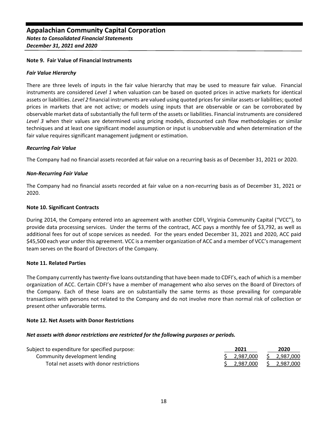## **Note 9. Fair Value of Financial Instruments**

## *Fair Value Hierarchy*

There are three levels of inputs in the fair value hierarchy that may be used to measure fair value. Financial instruments are considered *Level 1* when valuation can be based on quoted prices in active markets for identical assets or liabilities. *Level 2* financial instruments are valued using quoted prices for similar assets or liabilities; quoted prices in markets that are not active; or models using inputs that are observable or can be corroborated by observable market data of substantially the full term of the assets or liabilities. Financial instruments are considered *Level 3* when their values are determined using pricing models, discounted cash flow methodologies or similar techniques and at least one significant model assumption or input is unobservable and when determination of the fair value requires significant management judgment or estimation.

## *Recurring Fair Value*

The Company had no financial assets recorded at fair value on a recurring basis as of December 31, 2021 or 2020.

## *Non-Recurring Fair Value*

The Company had no financial assets recorded at fair value on a non-recurring basis as of December 31, 2021 or 2020.

## **Note 10. Significant Contracts**

During 2014, the Company entered into an agreement with another CDFI, Virginia Community Capital ("VCC"), to provide data processing services. Under the terms of the contract, ACC pays a monthly fee of \$3,792, as well as additional fees for out of scope services as needed. For the years ended December 31, 2021 and 2020, ACC paid \$45,500 each year under this agreement. VCC is a member organization of ACC and a member of VCC's management team serves on the Board of Directors of the Company.

#### **Note 11. Related Parties**

The Company currently has twenty-five loans outstanding that have been made to CDFI's, each of which is a member organization of ACC. Certain CDFI's have a member of management who also serves on the Board of Directors of the Company. Each of these loans are on substantially the same terms as those prevailing for comparable transactions with persons not related to the Company and do not involve more than normal risk of collection or present other unfavorable terms.

#### **Note 12. Net Assets with Donor Restrictions**

#### *Net assets with donor restrictions are restricted for the following purposes or periods.*

| Subject to expenditure for specified purpose: | 2021                      | 2020         |
|-----------------------------------------------|---------------------------|--------------|
| Community development lending                 | \$2,987,000               | \$ 2,987,000 |
| Total net assets with donor restrictions      | $$2,987,000$ $$2,987,000$ |              |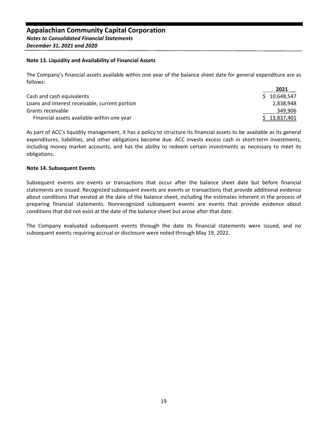## **Note 13. Liquidity and Availability of Financial Assets**

The Company's financial assets available within one year of the balance sheet date for general expenditure are as follows:

|                                                | 2021         |
|------------------------------------------------|--------------|
| Cash and cash equivalents                      | \$10,648,547 |
| Loans and interest receivable, current portion | 2,838,948    |
| Grants receivable                              | 349,906      |
| Financial assets available within one year     | \$13,837,401 |

As part of ACC's liquidity management, it has a policy to structure its financial assets to be available as its general expenditures, liabilities, and other obligations become due. ACC invests excess cash in short-term investments, including money market accounts, and has the ability to redeem certain investments as necessary to meet its obligations.

## **Note 14. Subsequent Events**

Subsequent events are events or transactions that occur after the balance sheet date but before financial statements are issued. Recognized subsequent events are events or transactions that provide additional evidence about conditions that existed at the date of the balance sheet, including the estimates inherent in the process of preparing financial statements. Nonrecognized subsequent events are events that provide evidence about conditions that did not exist at the date of the balance sheet but arose after that date.

The Company evaluated subsequent events through the date its financial statements were issued, and no subsequent events requiring accrual or disclosure were noted through May 19, 2022.